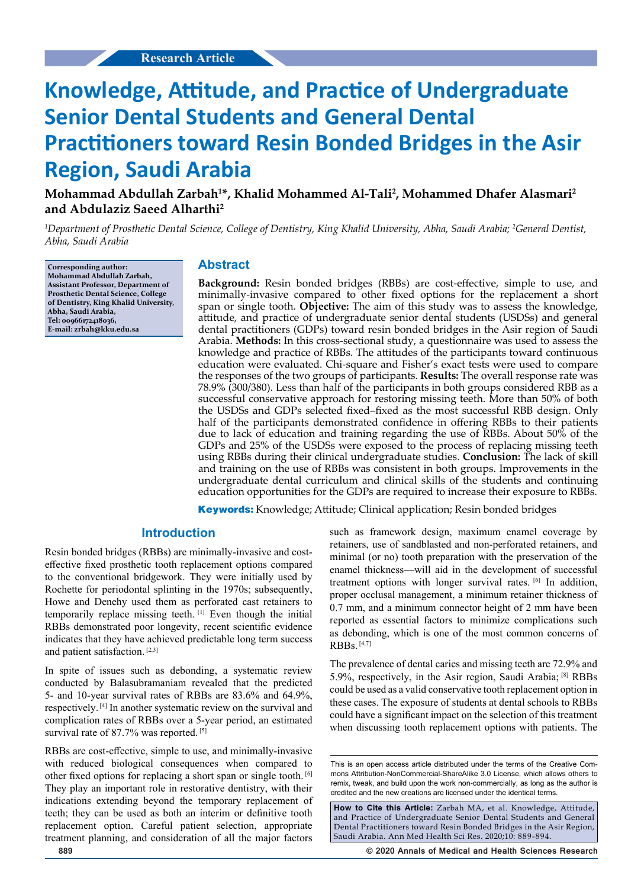# **Knowledge, Attitude, and Practice of Undergraduate Senior Dental Students and General Dental Practitioners toward Resin Bonded Bridges in the Asir Region, Saudi Arabia**

**Mohammad Abdullah Zarbah1 \*, Khalid Mohammed Al-Tali2 , Mohammed Dhafer Alasmari2 and Abdulaziz Saeed Alharthi2**

*1 Department of Prosthetic Dental Science, College of Dentistry, King Khalid University, Abha, Saudi Arabia; 2 General Dentist, Abha, Saudi Arabia*

**Corresponding author: Mohammad Abdullah Zarbah, Assistant Professor, Department of Prosthetic Dental Science, College of Dentistry, King Khalid University, Abha, Saudi Arabia, Tel: 00966172418036, E-mail: zrbah@kku.edu.sa**

#### **Abstract**

**Background:** Resin bonded bridges (RBBs) are cost-effective, simple to use, and minimally-invasive compared to other fixed options for the replacement a short span or single tooth. **Objective:** The aim of this study was to assess the knowledge, attitude, and practice of undergraduate senior dental students (USDSs) and general dental practitioners (GDPs) toward resin bonded bridges in the Asir region of Saudi Arabia. **Methods:** In this cross-sectional study, a questionnaire was used to assess the knowledge and practice of RBBs. The attitudes of the participants toward continuous education were evaluated. Chi‐square and Fisher's exact tests were used to compare the responses of the two groups of participants. **Results:** The overall response rate was 78.9% (300/380). Less than half of the participants in both groups considered RBB as a successful conservative approach for restoring missing teeth. More than 50% of both the USDSs and GDPs selected fixed–fixed as the most successful RBB design. Only half of the participants demonstrated confidence in offering RBBs to their patients due to lack of education and training regarding the use of RBBs. About 50% of the GDPs and 25% of the USDSs were exposed to the process of replacing missing teeth using RBBs during their clinical undergraduate studies. **Conclusion:** The lack of skill and training on the use of RBBs was consistent in both groups. Improvements in the undergraduate dental curriculum and clinical skills of the students and continuing education opportunities for the GDPs are required to increase their exposure to RBBs.

**Keywords:** Knowledge; Attitude; Clinical application; Resin bonded bridges

### **Introduction**

Resin bonded bridges (RBBs) are minimally-invasive and costeffective fixed prosthetic tooth replacement options compared to the conventional bridgework. They were initially used by Rochette for periodontal splinting in the 1970s; subsequently, Howe and Denehy used them as perforated cast retainers to temporarily replace missing teeth. [1] Even though the initial RBBs demonstrated poor longevity, recent scientific evidence indicates that they have achieved predictable long term success and patient satisfaction. [2,3]

In spite of issues such as debonding, a systematic review conducted by Balasubramaniam revealed that the predicted 5- and 10-year survival rates of RBBs are 83.6% and 64.9%, respectively. [4] In another systematic review on the survival and complication rates of RBBs over a 5-year period, an estimated survival rate of 87.7% was reported. [5]

RBBs are cost-effective, simple to use, and minimally-invasive with reduced biological consequences when compared to other fixed options for replacing a short span or single tooth. [6] They play an important role in restorative dentistry, with their indications extending beyond the temporary replacement of teeth; they can be used as both an interim or definitive tooth replacement option. Careful patient selection, appropriate treatment planning, and consideration of all the major factors

such as framework design, maximum enamel coverage by retainers, use of sandblasted and non-perforated retainers, and minimal (or no) tooth preparation with the preservation of the enamel thickness—will aid in the development of successful treatment options with longer survival rates. [6] In addition, proper occlusal management, a minimum retainer thickness of 0.7 mm, and a minimum connector height of 2 mm have been reported as essential factors to minimize complications such as debonding, which is one of the most common concerns of RBBs. [4,7]

The prevalence of dental caries and missing teeth are 72.9% and 5.9%, respectively, in the Asir region, Saudi Arabia; [8] RBBs could be used as a valid conservative tooth replacement option in these cases. The exposure of students at dental schools to RBBs could have a significant impact on the selection of this treatment when discussing tooth replacement options with patients. The

**How to Cite this Article:** Zarbah MA, et al. Knowledge, Attitude, and Practice of Undergraduate Senior Dental Students and General Dental Practitioners toward Resin Bonded Bridges in the Asir Region, Saudi Arabia. Ann Med Health Sci Res. 2020;10: 889-894.

**889 © 2020 Annals of Medical and Health Sciences Research** 

This is an open access article distributed under the terms of the Creative Com‑ mons Attribution‑NonCommercial‑ShareAlike 3.0 License, which allows others to remix, tweak, and build upon the work non‑commercially, as long as the author is credited and the new creations are licensed under the identical terms.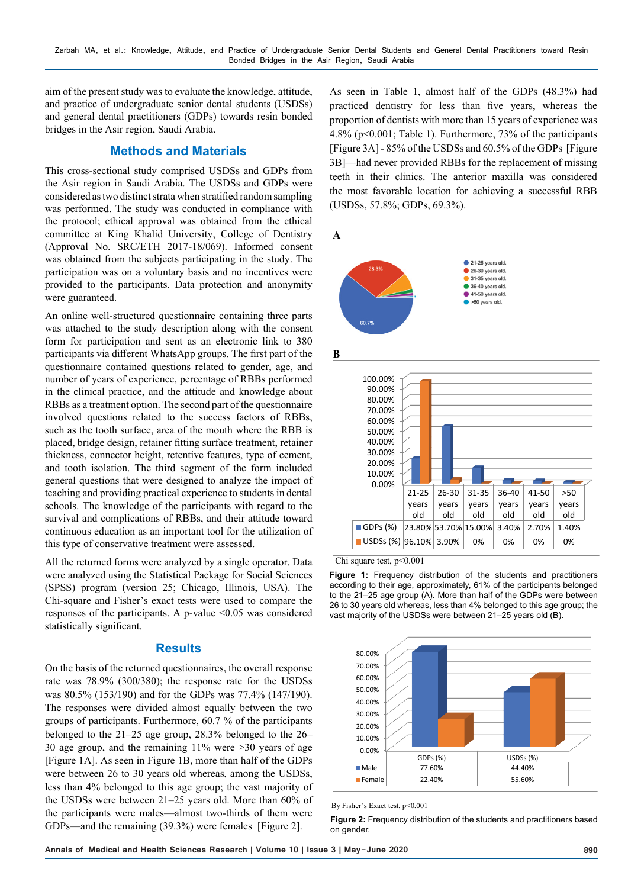aim of the present study was to evaluate the knowledge, attitude, and practice of undergraduate senior dental students (USDSs) and general dental practitioners (GDPs) towards resin bonded bridges in the Asir region, Saudi Arabia.

#### **Methods and Materials**

This cross-sectional study comprised USDSs and GDPs from the Asir region in Saudi Arabia. The USDSs and GDPs were considered as two distinct strata when stratified random sampling was performed. The study was conducted in compliance with the protocol; ethical approval was obtained from the ethical committee at King Khalid University, College of Dentistry (Approval No. SRC/ETH 2017-18/069). Informed consent was obtained from the subjects participating in the study. The participation was on a voluntary basis and no incentives were provided to the participants. Data protection and anonymity were guaranteed.

An online well-structured questionnaire containing three parts was attached to the study description along with the consent form for participation and sent as an electronic link to 380 participants via different WhatsApp groups. The first part of the questionnaire contained questions related to gender, age, and number of years of experience, percentage of RBBs performed in the clinical practice, and the attitude and knowledge about RBBs as a treatment option. The second part of the questionnaire involved questions related to the success factors of RBBs, such as the tooth surface, area of the mouth where the RBB is placed, bridge design, retainer fitting surface treatment, retainer thickness, connector height, retentive features, type of cement, and tooth isolation. The third segment of the form included general questions that were designed to analyze the impact of teaching and providing practical experience to students in dental schools. The knowledge of the participants with regard to the survival and complications of RBBs, and their attitude toward continuous education as an important tool for the utilization of this type of conservative treatment were assessed.

All the returned forms were analyzed by a single operator. Data were analyzed using the Statistical Package for Social Sciences (SPSS) program (version 25; Chicago, Illinois, USA). The Chi‐square and Fisher's exact tests were used to compare the responses of the participants. A p-value <0.05 was considered statistically significant.

#### **Results**

On the basis of the returned questionnaires, the overall response rate was 78.9% (300/380); the response rate for the USDSs was 80.5% (153/190) and for the GDPs was 77.4% (147/190). The responses were divided almost equally between the two groups of participants. Furthermore, 60.7 % of the participants belonged to the 21–25 age group, 28.3% belonged to the 26– 30 age group, and the remaining 11% were >30 years of age [Figure 1A]. As seen in Figure 1B, more than half of the GDPs were between 26 to 30 years old whereas, among the USDSs, less than 4% belonged to this age group; the vast majority of the USDSs were between 21–25 years old. More than 60% of the participants were males—almost two-thirds of them were GDPs—and the remaining (39.3%) were females [Figure 2].

As seen in Table 1, almost half of the GDPs (48.3%) had practiced dentistry for less than five years, whereas the proportion of dentists with more than 15 years of experience was 4.8% (p<0.001; Table 1). Furthermore, 73% of the participants [Figure 3A] - 85% of the USDSs and 60.5% of the GDPs [Figure 3B]—had never provided RBBs for the replacement of missing teeth in their clinics. The anterior maxilla was considered the most favorable location for achieving a successful RBB (USDSs, 57.8%; GDPs, 69.3%).





Chi square test, p<0.001

**Figure 1:** Frequency distribution of the students and practitioners according to their age, approximately, 61% of the participants belonged to the 21–25 age group (A). More than half of the GDPs were between 26 to 30 years old whereas, less than 4% belonged to this age group; the vast majority of the USDSs were between 21–25 years old (B).



By Fisher's Exact test, p<0.001

**Figure 2:** Frequency distribution of the students and practitioners based on gender.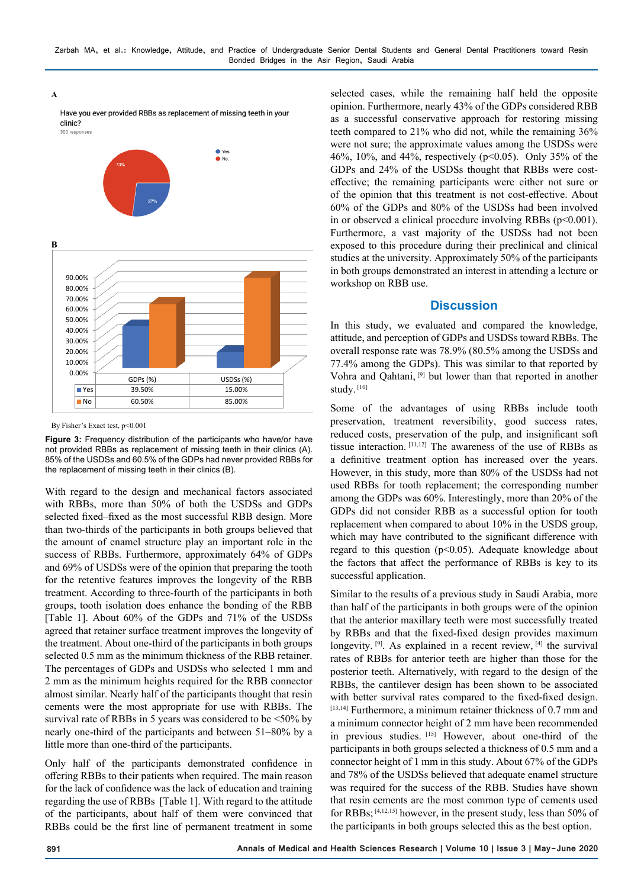**A**

Have you ever provided RBBs as replacement of missing teeth in your clinic? 300 response



By Fisher's Exact test, p<0.001

**Figure 3:** Frequency distribution of the participants who have/or have not provided RBBs as replacement of missing teeth in their clinics (A). 85% of the USDSs and 60.5% of the GDPs had never provided RBBs for the replacement of missing teeth in their clinics (B).

With regard to the design and mechanical factors associated with RBBs, more than 50% of both the USDSs and GDPs selected fixed–fixed as the most successful RBB design. More than two-thirds of the participants in both groups believed that the amount of enamel structure play an important role in the success of RBBs. Furthermore, approximately 64% of GDPs and 69% of USDSs were of the opinion that preparing the tooth for the retentive features improves the longevity of the RBB treatment. According to three-fourth of the participants in both groups, tooth isolation does enhance the bonding of the RBB [Table 1]. About 60% of the GDPs and 71% of the USDSs agreed that retainer surface treatment improves the longevity of the treatment. About one-third of the participants in both groups selected 0.5 mm as the minimum thickness of the RBB retainer. The percentages of GDPs and USDSs who selected 1 mm and 2 mm as the minimum heights required for the RBB connector almost similar. Nearly half of the participants thought that resin cements were the most appropriate for use with RBBs. The survival rate of RBBs in 5 years was considered to be <50% by nearly one-third of the participants and between 51–80% by a little more than one-third of the participants.

Only half of the participants demonstrated confidence in offering RBBs to their patients when required. The main reason for the lack of confidence was the lack of education and training regarding the use of RBBs [Table 1]. With regard to the attitude of the participants, about half of them were convinced that RBBs could be the first line of permanent treatment in some

selected cases, while the remaining half held the opposite opinion. Furthermore, nearly 43% of the GDPs considered RBB as a successful conservative approach for restoring missing teeth compared to 21% who did not, while the remaining 36% were not sure; the approximate values among the USDSs were 46%, 10%, and 44%, respectively (p<0.05). Only 35% of the GDPs and 24% of the USDSs thought that RBBs were costeffective; the remaining participants were either not sure or of the opinion that this treatment is not cost-effective. About 60% of the GDPs and 80% of the USDSs had been involved in or observed a clinical procedure involving RBBs (p<0.001). Furthermore, a vast majority of the USDSs had not been exposed to this procedure during their preclinical and clinical studies at the university. Approximately 50% of the participants in both groups demonstrated an interest in attending a lecture or workshop on RBB use.

### **Discussion**

In this study, we evaluated and compared the knowledge, attitude, and perception of GDPs and USDSs toward RBBs. The overall response rate was 78.9% (80.5% among the USDSs and 77.4% among the GDPs). This was similar to that reported by Vohra and Qahtani, [9] but lower than that reported in another study. [10]

Some of the advantages of using RBBs include tooth preservation, treatment reversibility, good success rates, reduced costs, preservation of the pulp, and insignificant soft tissue interaction. [11,12] The awareness of the use of RBBs as a definitive treatment option has increased over the years. However, in this study, more than 80% of the USDSs had not used RBBs for tooth replacement; the corresponding number among the GDPs was 60%. Interestingly, more than 20% of the GDPs did not consider RBB as a successful option for tooth replacement when compared to about 10% in the USDS group, which may have contributed to the significant difference with regard to this question ( $p<0.05$ ). Adequate knowledge about the factors that affect the performance of RBBs is key to its successful application.

Similar to the results of a previous study in Saudi Arabia, more than half of the participants in both groups were of the opinion that the anterior maxillary teeth were most successfully treated by RBBs and that the fixed-fixed design provides maximum longevity. <sup>[9]</sup>. As explained in a recent review, <sup>[4]</sup> the survival rates of RBBs for anterior teeth are higher than those for the posterior teeth. Alternatively, with regard to the design of the RBBs, the cantilever design has been shown to be associated with better survival rates compared to the fixed-fixed design. [13,14] Furthermore, a minimum retainer thickness of 0.7 mm and a minimum connector height of 2 mm have been recommended in previous studies. [15] However, about one-third of the participants in both groups selected a thickness of 0.5 mm and a connector height of 1 mm in this study. About 67% of the GDPs and 78% of the USDSs believed that adequate enamel structure was required for the success of the RBB. Studies have shown that resin cements are the most common type of cements used for RBBs; [4,12,15] however, in the present study, less than 50% of the participants in both groups selected this as the best option.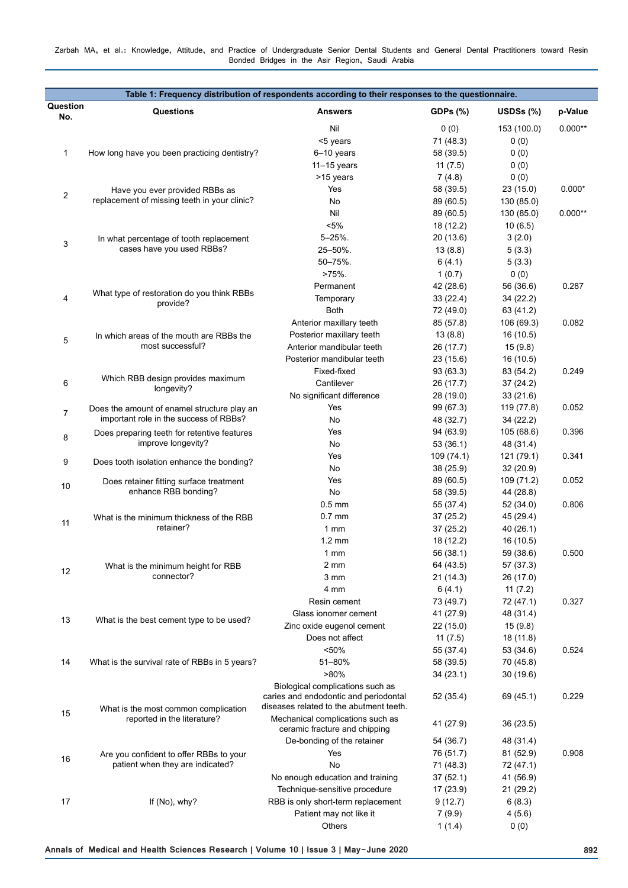| Table 1: Frequency distribution of respondents according to their responses to the questionnaire. |                                                                             |                                                                                                                      |                        |                      |           |  |  |  |  |
|---------------------------------------------------------------------------------------------------|-----------------------------------------------------------------------------|----------------------------------------------------------------------------------------------------------------------|------------------------|----------------------|-----------|--|--|--|--|
| Question<br>No.                                                                                   | Questions                                                                   | <b>Answers</b>                                                                                                       | <b>GDPs (%)</b>        | USDSs (%)            | p-Value   |  |  |  |  |
|                                                                                                   |                                                                             | Nil                                                                                                                  | 0(0)                   | 153 (100.0)          | $0.000**$ |  |  |  |  |
|                                                                                                   |                                                                             | <5 years                                                                                                             | 71 (48.3)              | 0(0)                 |           |  |  |  |  |
| 1                                                                                                 | How long have you been practicing dentistry?                                | 6-10 years                                                                                                           | 58 (39.5)              | 0(0)                 |           |  |  |  |  |
|                                                                                                   |                                                                             | $11-15$ years                                                                                                        | 11(7.5)                | 0(0)                 |           |  |  |  |  |
|                                                                                                   |                                                                             | >15 years                                                                                                            | 7(4.8)                 | 0(0)                 |           |  |  |  |  |
| $\overline{c}$                                                                                    | Have you ever provided RBBs as                                              | Yes                                                                                                                  | 58 (39.5)              | 23(15.0)             | $0.000*$  |  |  |  |  |
|                                                                                                   | replacement of missing teeth in your clinic?                                | No                                                                                                                   | 89 (60.5)              | 130 (85.0)           |           |  |  |  |  |
|                                                                                                   |                                                                             | Nil                                                                                                                  | 89 (60.5)              | 130 (85.0)           | $0.000**$ |  |  |  |  |
|                                                                                                   |                                                                             | $< 5\%$                                                                                                              | 18 (12.2)              | 10(6.5)              |           |  |  |  |  |
| 3                                                                                                 | In what percentage of tooth replacement<br>cases have you used RBBs?        | $5 - 25%$ .                                                                                                          | 20 (13.6)              | 3(2.0)               |           |  |  |  |  |
|                                                                                                   |                                                                             | 25-50%.                                                                                                              | 13(8.8)                | 5(3.3)               |           |  |  |  |  |
|                                                                                                   |                                                                             | 50-75%.                                                                                                              | 6(4.1)                 | 5(3.3)               |           |  |  |  |  |
|                                                                                                   |                                                                             | $>75%$ .                                                                                                             | 1(0.7)                 | 0(0)                 |           |  |  |  |  |
| 4                                                                                                 | What type of restoration do you think RBBs<br>provide?                      | Permanent                                                                                                            | 42 (28.6)              | 56 (36.6)            | 0.287     |  |  |  |  |
|                                                                                                   |                                                                             | Temporary                                                                                                            | 33(22.4)               | 34 (22.2)            |           |  |  |  |  |
|                                                                                                   |                                                                             | <b>Both</b>                                                                                                          | 72 (49.0)              | 63 (41.2)            |           |  |  |  |  |
|                                                                                                   |                                                                             | Anterior maxillary teeth                                                                                             | 85 (57.8)              | 106 (69.3)           | 0.082     |  |  |  |  |
| 5                                                                                                 | In which areas of the mouth are RBBs the                                    | Posterior maxillary teeth                                                                                            | 13(8.8)                | 16 (10.5)            |           |  |  |  |  |
|                                                                                                   | most successful?                                                            | Anterior mandibular teeth                                                                                            | 26 (17.7)              | 15(9.8)              |           |  |  |  |  |
|                                                                                                   |                                                                             | Posterior mandibular teeth                                                                                           | 23(15.6)               | 16 (10.5)            |           |  |  |  |  |
|                                                                                                   | Which RBB design provides maximum                                           | Fixed-fixed                                                                                                          | 93 (63.3)              | 83 (54.2)            | 0.249     |  |  |  |  |
| 6                                                                                                 | longevity?                                                                  | Cantilever                                                                                                           | 26 (17.7)              | 37(24.2)             |           |  |  |  |  |
|                                                                                                   |                                                                             | No significant difference                                                                                            | 28 (19.0)              | 33(21.6)             |           |  |  |  |  |
| $\overline{7}$                                                                                    | Does the amount of enamel structure play an                                 | Yes                                                                                                                  | 99 (67.3)              | 119 (77.8)           | 0.052     |  |  |  |  |
|                                                                                                   | important role in the success of RBBs?                                      | No                                                                                                                   | 48 (32.7)              | 34 (22.2)            |           |  |  |  |  |
| 8                                                                                                 | Does preparing teeth for retentive features                                 | Yes                                                                                                                  | 94 (63.9)              | 105 (68.6)           | 0.396     |  |  |  |  |
|                                                                                                   | improve longevity?                                                          | No                                                                                                                   | 53(36.1)               | 48 (31.4)            |           |  |  |  |  |
| 9                                                                                                 | Does tooth isolation enhance the bonding?                                   | Yes                                                                                                                  | 109 (74.1)             | 121 (79.1)           | 0.341     |  |  |  |  |
|                                                                                                   |                                                                             | No                                                                                                                   | 38 (25.9)              | 32(20.9)             |           |  |  |  |  |
| 10                                                                                                | Does retainer fitting surface treatment<br>enhance RBB bonding?             | Yes                                                                                                                  | 89 (60.5)              | 109 (71.2)           | 0.052     |  |  |  |  |
|                                                                                                   |                                                                             | No                                                                                                                   | 58 (39.5)              | 44 (28.8)            |           |  |  |  |  |
|                                                                                                   | What is the minimum thickness of the RBB<br>retainer?                       | $0.5$ mm                                                                                                             | 55 (37.4)              | 52(34.0)             | 0.806     |  |  |  |  |
| 11                                                                                                |                                                                             | $0.7$ mm                                                                                                             | 37(25.2)               | 45 (29.4)            |           |  |  |  |  |
|                                                                                                   |                                                                             | $1$ mm                                                                                                               | 37(25.2)               | 40(26.1)             |           |  |  |  |  |
|                                                                                                   |                                                                             | $1.2 \text{ mm}$                                                                                                     | 18 (12.2)              | 16 (10.5)            |           |  |  |  |  |
|                                                                                                   | What is the minimum height for RBB<br>connector?                            | 1 mm                                                                                                                 | 56 (38.1)              | 59 (38.6)            | 0.500     |  |  |  |  |
| 12                                                                                                |                                                                             | 2 mm<br>3 mm                                                                                                         | 64 (43.5)<br>21 (14.3) | 57 (37.3)            |           |  |  |  |  |
|                                                                                                   |                                                                             |                                                                                                                      | 6(4.1)                 | 26 (17.0)<br>11(7.2) |           |  |  |  |  |
|                                                                                                   |                                                                             | 4 mm<br>Resin cement                                                                                                 | 73 (49.7)              | 72 (47.1)            | 0.327     |  |  |  |  |
|                                                                                                   |                                                                             | Glass ionomer cement                                                                                                 | 41 (27.9)              | 48 (31.4)            |           |  |  |  |  |
| 13                                                                                                | What is the best cement type to be used?                                    | Zinc oxide eugenol cement                                                                                            | 22 (15.0)              | 15(9.8)              |           |  |  |  |  |
|                                                                                                   |                                                                             | Does not affect                                                                                                      | 11(7.5)                | 18 (11.8)            |           |  |  |  |  |
|                                                                                                   |                                                                             | < 50%                                                                                                                | 55 (37.4)              | 53 (34.6)            | 0.524     |  |  |  |  |
| 14                                                                                                | What is the survival rate of RBBs in 5 years?                               | 51-80%                                                                                                               | 58 (39.5)              | 70 (45.8)            |           |  |  |  |  |
|                                                                                                   |                                                                             | >80%                                                                                                                 | 34(23.1)               | 30 (19.6)            |           |  |  |  |  |
| 15                                                                                                | What is the most common complication<br>reported in the literature?         | Biological complications such as<br>caries and endodontic and periodontal<br>diseases related to the abutment teeth. | 52 (35.4)              | 69 (45.1)            | 0.229     |  |  |  |  |
|                                                                                                   |                                                                             | Mechanical complications such as<br>ceramic fracture and chipping                                                    | 41 (27.9)              | 36 (23.5)            |           |  |  |  |  |
|                                                                                                   |                                                                             | De-bonding of the retainer                                                                                           | 54 (36.7)              | 48 (31.4)            |           |  |  |  |  |
| 16                                                                                                | Are you confident to offer RBBs to your<br>patient when they are indicated? | Yes                                                                                                                  | 76 (51.7)              | 81 (52.9)            | 0.908     |  |  |  |  |
|                                                                                                   |                                                                             | No                                                                                                                   | 71 (48.3)              | 72 (47.1)            |           |  |  |  |  |
|                                                                                                   |                                                                             | No enough education and training                                                                                     | 37(52.1)               | 41 (56.9)            |           |  |  |  |  |
|                                                                                                   |                                                                             | Technique-sensitive procedure                                                                                        | 17 (23.9)              | 21 (29.2)            |           |  |  |  |  |
| 17                                                                                                | If (No), why?                                                               | RBB is only short-term replacement                                                                                   | 9(12.7)                | 6(8.3)               |           |  |  |  |  |
|                                                                                                   |                                                                             | Patient may not like it                                                                                              | 7(9.9)                 | 4(5.6)               |           |  |  |  |  |
|                                                                                                   |                                                                             | Others                                                                                                               | 1(1.4)                 | 0(0)                 |           |  |  |  |  |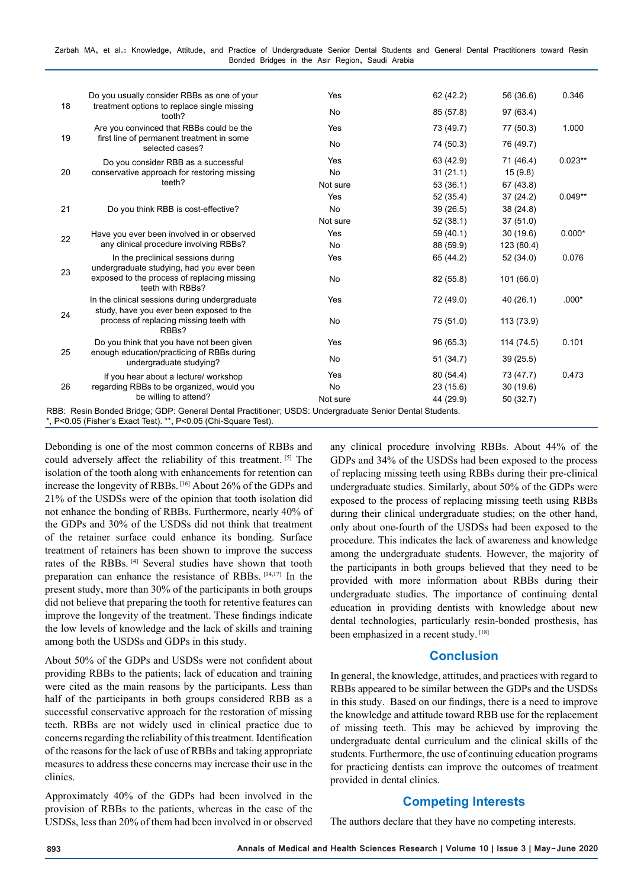| 18 | Do you usually consider RBBs as one of your                                                              | Yes       | 62 (42.2) | 56 (36.6)  | 0.346     |
|----|----------------------------------------------------------------------------------------------------------|-----------|-----------|------------|-----------|
|    | treatment options to replace single missing<br>tooth?                                                    | No        | 85 (57.8) | 97 (63.4)  |           |
| 19 | Are you convinced that RBBs could be the<br>first line of permanent treatment in some<br>selected cases? | Yes       | 73 (49.7) | 77 (50.3)  | 1.000     |
|    |                                                                                                          | <b>No</b> | 74 (50.3) | 76 (49.7)  |           |
| 20 | Do you consider RBB as a successful                                                                      | Yes       | 63 (42.9) | 71 (46.4)  | $0.023**$ |
|    | conservative approach for restoring missing<br>teeth?                                                    | No        | 31(21.1)  | 15(9.8)    |           |
|    |                                                                                                          | Not sure  | 53 (36.1) | 67 (43.8)  |           |
| 21 | Do you think RBB is cost-effective?                                                                      | Yes       | 52 (35.4) | 37(24.2)   | $0.049**$ |
|    |                                                                                                          | No        | 39(26.5)  | 38 (24.8)  |           |
|    |                                                                                                          | Not sure  | 52(38.1)  | 37(51.0)   |           |
| 22 | Have you ever been involved in or observed                                                               | Yes       | 59(40.1)  | 30(19.6)   | $0.000*$  |
|    | any clinical procedure involving RBBs?                                                                   | No        | 88 (59.9) | 123 (80.4) |           |
| 23 | In the preclinical sessions during<br>undergraduate studying, had you ever been                          | Yes       | 65 (44.2) | 52 (34.0)  | 0.076     |
|    | exposed to the process of replacing missing<br>teeth with RBBs?                                          | No        | 82 (55.8) | 101 (66.0) |           |
| 24 | In the clinical sessions during undergraduate<br>study, have you ever been exposed to the                | Yes       | 72 (49.0) | 40(26.1)   | $.000*$   |
|    | process of replacing missing teeth with<br>RBB <sub>s</sub> ?                                            | No        | 75 (51.0) | 113 (73.9) |           |
| 25 | Do you think that you have not been given                                                                | Yes       | 96 (65.3) | 114 (74.5) | 0.101     |
|    | enough education/practicing of RBBs during<br>undergraduate studying?                                    | No        | 51(34.7)  | 39(25.5)   |           |
| 26 | If you hear about a lecture/ workshop                                                                    | Yes       | 80 (54.4) | 73 (47.7)  | 0.473     |
|    | regarding RBBs to be organized, would you                                                                | No        | 23(15.6)  | 30(19.6)   |           |
|    | be willing to attend?                                                                                    | Not sure  | 44 (29.9) | 50 (32.7)  |           |

\*, P<0.05 (Fisher's Exact Test). \*\*, P<0.05 (Chi-Square Test).

Debonding is one of the most common concerns of RBBs and could adversely affect the reliability of this treatment. [5] The isolation of the tooth along with enhancements for retention can increase the longevity of RBBs. [16] About 26% of the GDPs and 21% of the USDSs were of the opinion that tooth isolation did not enhance the bonding of RBBs. Furthermore, nearly 40% of the GDPs and 30% of the USDSs did not think that treatment of the retainer surface could enhance its bonding. Surface treatment of retainers has been shown to improve the success rates of the RBBs. [4] Several studies have shown that tooth preparation can enhance the resistance of RBBs. [14,17] In the present study, more than 30% of the participants in both groups did not believe that preparing the tooth for retentive features can improve the longevity of the treatment. These findings indicate the low levels of knowledge and the lack of skills and training among both the USDSs and GDPs in this study.

About 50% of the GDPs and USDSs were not confident about providing RBBs to the patients; lack of education and training were cited as the main reasons by the participants. Less than half of the participants in both groups considered RBB as a successful conservative approach for the restoration of missing teeth. RBBs are not widely used in clinical practice due to concerns regarding the reliability of this treatment. Identification of the reasons for the lack of use of RBBs and taking appropriate measures to address these concerns may increase their use in the clinics.

Approximately 40% of the GDPs had been involved in the provision of RBBs to the patients, whereas in the case of the USDSs, less than 20% of them had been involved in or observed any clinical procedure involving RBBs. About 44% of the GDPs and 34% of the USDSs had been exposed to the process of replacing missing teeth using RBBs during their pre-clinical undergraduate studies. Similarly, about 50% of the GDPs were exposed to the process of replacing missing teeth using RBBs during their clinical undergraduate studies; on the other hand, only about one-fourth of the USDSs had been exposed to the procedure. This indicates the lack of awareness and knowledge among the undergraduate students. However, the majority of the participants in both groups believed that they need to be provided with more information about RBBs during their undergraduate studies. The importance of continuing dental education in providing dentists with knowledge about new dental technologies, particularly resin-bonded prosthesis, has been emphasized in a recent study. [18]

## **Conclusion**

In general, the knowledge, attitudes, and practices with regard to RBBs appeared to be similar between the GDPs and the USDSs in this study. Based on our findings, there is a need to improve the knowledge and attitude toward RBB use for the replacement of missing teeth. This may be achieved by improving the undergraduate dental curriculum and the clinical skills of the students. Furthermore, the use of continuing education programs for practicing dentists can improve the outcomes of treatment provided in dental clinics.

## **Competing Interests**

The authors declare that they have no competing interests.